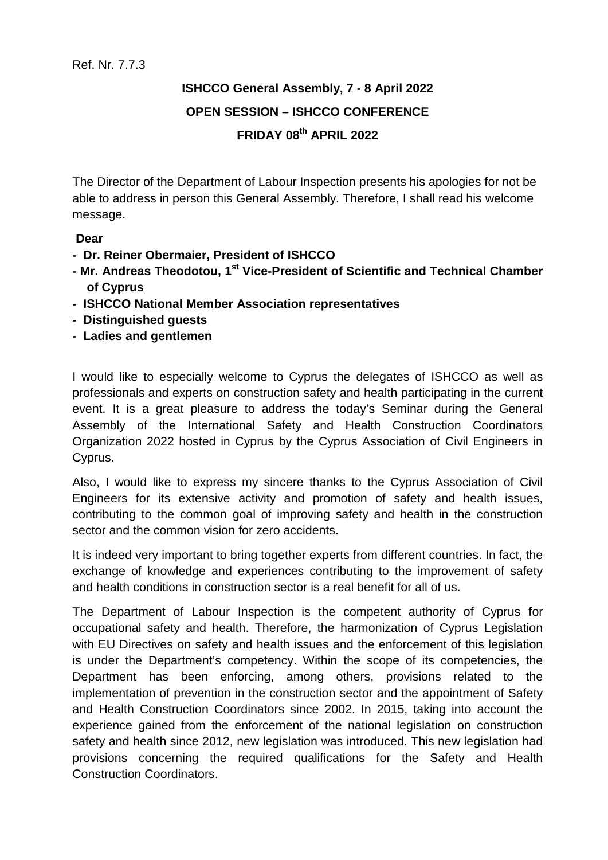## **ISHCCO General Assembly, 7 - 8 April 2022 OPEN SESSION – ISHCCO CONFERENCE FRIDAY 08th APRIL 2022**

The Director of the Department of Labour Inspection presents his apologies for not be able to address in person this General Assembly. Therefore, I shall read his welcome message.

## **Dear**

- **Dr. Reiner Obermaier, President of ISHCCO**
- **- Mr. Andreas Theodotou, 1st Vice-President of Scientific and Technical Chamber of Cyprus**
- **- ISHCCO National Member Association representatives**
- **- Distinguished guests**
- **- Ladies and gentlemen**

I would like to especially welcome to Cyprus the delegates of ISHCCO as well as professionals and experts on construction safety and health participating in the current event. It is a great pleasure to address the today's Seminar during the General Assembly of the International Safety and Health Construction Coordinators Organization 2022 hosted in Cyprus by the Cyprus Association of Civil Engineers in Cyprus.

Also, I would like to express my sincere thanks to the Cyprus Association of Civil Engineers for its extensive activity and promotion of safety and health issues, contributing to the common goal of improving safety and health in the construction sector and the common vision for zero accidents.

It is indeed very important to bring together experts from different countries. In fact, the exchange of knowledge and experiences contributing to the improvement of safety and health conditions in construction sector is a real benefit for all of us.

The Department of Labour Inspection is the competent authority of Cyprus for occupational safety and health. Therefore, the harmonization of Cyprus Legislation with EU Directives on safety and health issues and the enforcement of this legislation is under the Department's competency. Within the scope of its competencies, the Department has been enforcing, among others, provisions related to the implementation of prevention in the construction sector and the appointment of Safety and Health Construction Coordinators since 2002. In 2015, taking into account the experience gained from the enforcement of the national legislation on construction safety and health since 2012, new legislation was introduced. This new legislation had provisions concerning the required qualifications for the Safety and Health Construction Coordinators.